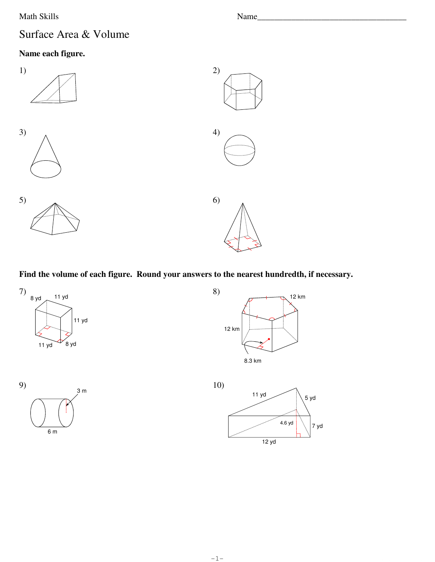Math Skills

## Surface Area & Volume

## Name each figure.



Find the volume of each figure. Round your answers to the nearest hundredth, if necessary.









Name\_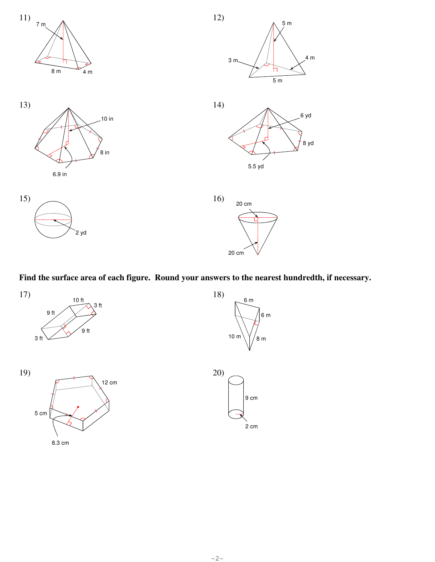



18)



3 ft

10 ft

17)

9 ft



6 m

2 cm